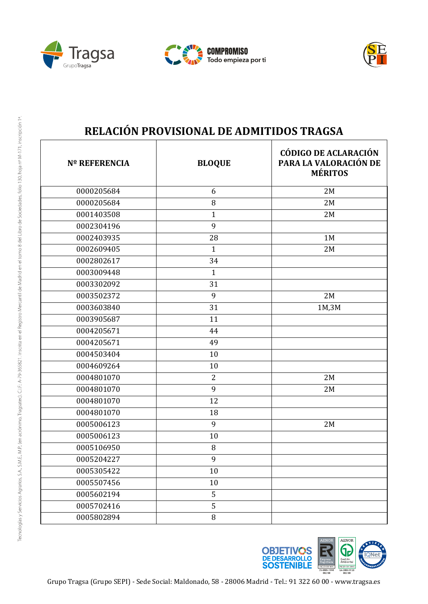





| <b>Nº REFERENCIA</b> | <b>BLOQUE</b>  | <b>CÓDIGO DE ACLARACIÓN</b><br>PARA LA VALORACIÓN DE<br><b>MÉRITOS</b> |
|----------------------|----------------|------------------------------------------------------------------------|
| 0000205684           | 6              | 2M                                                                     |
| 0000205684           | $\, 8$         | 2M                                                                     |
| 0001403508           | $\mathbf{1}$   | 2M                                                                     |
| 0002304196           | 9              |                                                                        |
| 0002403935           | 28             | 1M                                                                     |
| 0002609405           | $\mathbf{1}$   | 2M                                                                     |
| 0002802617           | 34             |                                                                        |
| 0003009448           | $\mathbf{1}$   |                                                                        |
| 0003302092           | 31             |                                                                        |
| 0003502372           | 9              | 2M                                                                     |
| 0003603840           | 31             | 1M,3M                                                                  |
| 0003905687           | 11             |                                                                        |
| 0004205671           | 44             |                                                                        |
| 0004205671           | 49             |                                                                        |
| 0004503404           | 10             |                                                                        |
| 0004609264           | 10             |                                                                        |
| 0004801070           | $\overline{2}$ | 2M                                                                     |
| 0004801070           | 9              | 2M                                                                     |
| 0004801070           | 12             |                                                                        |
| 0004801070           | 18             |                                                                        |
| 0005006123           | 9              | 2M                                                                     |
| 0005006123           | 10             |                                                                        |
| 0005106950           | 8              |                                                                        |
| 0005204227           | 9              |                                                                        |
| 0005305422           | 10             |                                                                        |
| 0005507456           | 10             |                                                                        |
| 0005602194           | 5              |                                                                        |
| 0005702416           | 5              |                                                                        |
| 0005802894           | 8              |                                                                        |

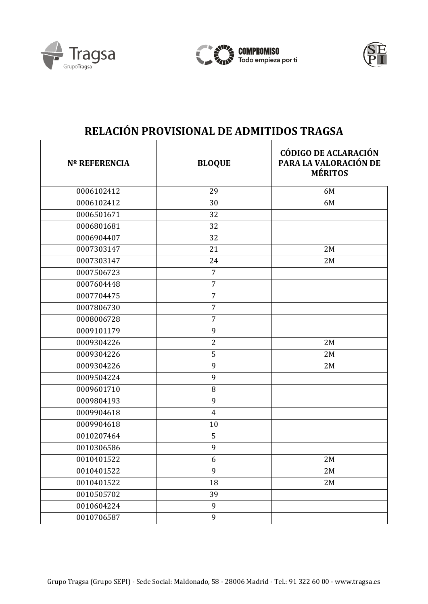





| <b>Nº REFERENCIA</b> | <b>BLOQUE</b>  | <b>CÓDIGO DE ACLARACIÓN</b><br>PARA LA VALORACIÓN DE<br><b>MÉRITOS</b> |
|----------------------|----------------|------------------------------------------------------------------------|
| 0006102412           | 29             | 6M                                                                     |
| 0006102412           | 30             | 6M                                                                     |
| 0006501671           | 32             |                                                                        |
| 0006801681           | 32             |                                                                        |
| 0006904407           | 32             |                                                                        |
| 0007303147           | 21             | 2M                                                                     |
| 0007303147           | 24             | 2M                                                                     |
| 0007506723           | $\overline{7}$ |                                                                        |
| 0007604448           | $\overline{7}$ |                                                                        |
| 0007704475           | $\overline{7}$ |                                                                        |
| 0007806730           | $\overline{7}$ |                                                                        |
| 0008006728           | $\overline{7}$ |                                                                        |
| 0009101179           | 9              |                                                                        |
| 0009304226           | $\overline{2}$ | 2M                                                                     |
| 0009304226           | 5              | 2M                                                                     |
| 0009304226           | 9              | 2M                                                                     |
| 0009504224           | 9              |                                                                        |
| 0009601710           | 8              |                                                                        |
| 0009804193           | 9              |                                                                        |
| 0009904618           | $\overline{4}$ |                                                                        |
| 0009904618           | 10             |                                                                        |
| 0010207464           | 5              |                                                                        |
| 0010306586           | 9              |                                                                        |
| 0010401522           | 6              | 2M                                                                     |
| 0010401522           | 9              | 2M                                                                     |
| 0010401522           | 18             | 2M                                                                     |
| 0010505702           | 39             |                                                                        |
| 0010604224           | 9              |                                                                        |
| 0010706587           | 9              |                                                                        |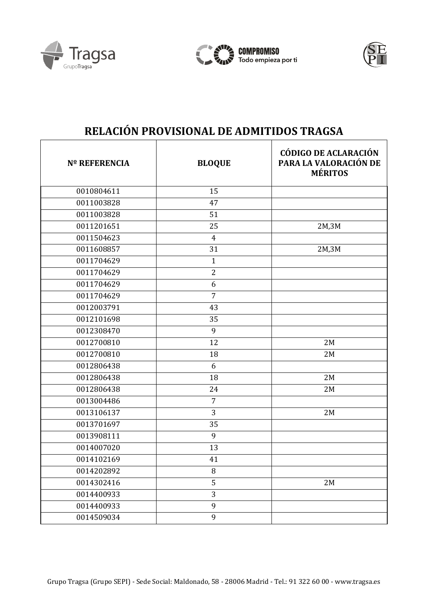





| <b>Nº REFERENCIA</b> | <b>BLOQUE</b>  | <b>CÓDIGO DE ACLARACIÓN</b><br>PARA LA VALORACIÓN DE<br><b>MÉRITOS</b> |
|----------------------|----------------|------------------------------------------------------------------------|
| 0010804611           | 15             |                                                                        |
| 0011003828           | 47             |                                                                        |
| 0011003828           | 51             |                                                                        |
| 0011201651           | 25             | 2M,3M                                                                  |
| 0011504623           | $\overline{4}$ |                                                                        |
| 0011608857           | 31             | 2M,3M                                                                  |
| 0011704629           | $\mathbf{1}$   |                                                                        |
| 0011704629           | $\overline{2}$ |                                                                        |
| 0011704629           | 6              |                                                                        |
| 0011704629           | $\overline{7}$ |                                                                        |
| 0012003791           | 43             |                                                                        |
| 0012101698           | 35             |                                                                        |
| 0012308470           | 9              |                                                                        |
| 0012700810           | 12             | 2M                                                                     |
| 0012700810           | 18             | 2M                                                                     |
| 0012806438           | 6              |                                                                        |
| 0012806438           | 18             | 2M                                                                     |
| 0012806438           | 24             | 2M                                                                     |
| 0013004486           | $\overline{7}$ |                                                                        |
| 0013106137           | 3              | 2M                                                                     |
| 0013701697           | 35             |                                                                        |
| 0013908111           | 9              |                                                                        |
| 0014007020           | 13             |                                                                        |
| 0014102169           | 41             |                                                                        |
| 0014202892           | 8              |                                                                        |
| 0014302416           | 5              | 2M                                                                     |
| 0014400933           | 3              |                                                                        |
| 0014400933           | 9              |                                                                        |
| 0014509034           | 9              |                                                                        |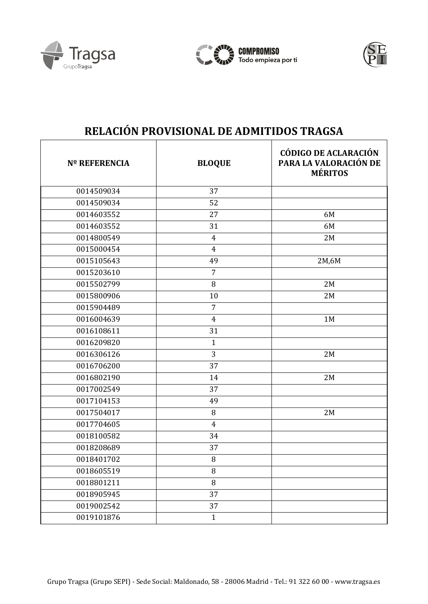





| <b>Nº REFERENCIA</b> | <b>BLOQUE</b>  | <b>CÓDIGO DE ACLARACIÓN</b><br>PARA LA VALORACIÓN DE<br><b>MÉRITOS</b> |
|----------------------|----------------|------------------------------------------------------------------------|
| 0014509034           | 37             |                                                                        |
| 0014509034           | 52             |                                                                        |
| 0014603552           | 27             | 6M                                                                     |
| 0014603552           | 31             | 6M                                                                     |
| 0014800549           | $\overline{4}$ | 2M                                                                     |
| 0015000454           | $\overline{4}$ |                                                                        |
| 0015105643           | 49             | 2M,6M                                                                  |
| 0015203610           | $\overline{7}$ |                                                                        |
| 0015502799           | 8              | 2M                                                                     |
| 0015800906           | 10             | 2M                                                                     |
| 0015904489           | $\overline{7}$ |                                                                        |
| 0016004639           | $\overline{4}$ | 1M                                                                     |
| 0016108611           | 31             |                                                                        |
| 0016209820           | $\mathbf{1}$   |                                                                        |
| 0016306126           | 3              | 2M                                                                     |
| 0016706200           | 37             |                                                                        |
| 0016802190           | 14             | 2M                                                                     |
| 0017002549           | 37             |                                                                        |
| 0017104153           | 49             |                                                                        |
| 0017504017           | 8              | 2M                                                                     |
| 0017704605           | 4              |                                                                        |
| 0018100582           | 34             |                                                                        |
| 0018208689           | 37             |                                                                        |
| 0018401702           | 8              |                                                                        |
| 0018605519           | 8              |                                                                        |
| 0018801211           | $\, 8$         |                                                                        |
| 0018905945           | 37             |                                                                        |
| 0019002542           | 37             |                                                                        |
| 0019101876           | $\mathbf{1}$   |                                                                        |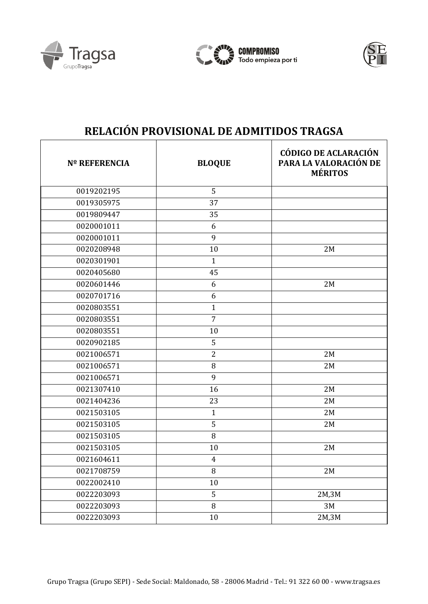





| <b>Nº REFERENCIA</b> | <b>BLOQUE</b>  | <b>CÓDIGO DE ACLARACIÓN</b><br>PARA LA VALORACIÓN DE<br><b>MÉRITOS</b> |
|----------------------|----------------|------------------------------------------------------------------------|
| 0019202195           | 5              |                                                                        |
| 0019305975           | 37             |                                                                        |
| 0019809447           | 35             |                                                                        |
| 0020001011           | 6              |                                                                        |
| 0020001011           | 9              |                                                                        |
| 0020208948           | 10             | 2M                                                                     |
| 0020301901           | $\mathbf{1}$   |                                                                        |
| 0020405680           | 45             |                                                                        |
| 0020601446           | 6              | 2M                                                                     |
| 0020701716           | 6              |                                                                        |
| 0020803551           | $\mathbf{1}$   |                                                                        |
| 0020803551           | $\overline{7}$ |                                                                        |
| 0020803551           | 10             |                                                                        |
| 0020902185           | 5              |                                                                        |
| 0021006571           | $\overline{2}$ | 2M                                                                     |
| 0021006571           | 8              | 2M                                                                     |
| 0021006571           | 9              |                                                                        |
| 0021307410           | 16             | 2M                                                                     |
| 0021404236           | 23             | 2M                                                                     |
| 0021503105           | $\mathbf{1}$   | 2M                                                                     |
| 0021503105           | 5              | 2M                                                                     |
| 0021503105           | 8              |                                                                        |
| 0021503105           | 10             | 2M                                                                     |
| 0021604611           | $\overline{4}$ |                                                                        |
| 0021708759           | $\, 8$         | 2M                                                                     |
| 0022002410           | 10             |                                                                        |
| 0022203093           | 5              | 2M,3M                                                                  |
| 0022203093           | $\, 8$         | 3M                                                                     |
| 0022203093           | $10\,$         | 2M,3M                                                                  |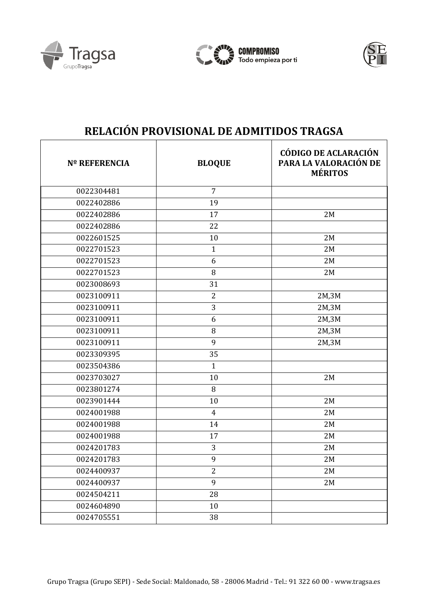





| <b>Nº REFERENCIA</b> | <b>BLOQUE</b>  | <b>CÓDIGO DE ACLARACIÓN</b><br>PARA LA VALORACIÓN DE<br><b>MÉRITOS</b> |
|----------------------|----------------|------------------------------------------------------------------------|
| 0022304481           | $\overline{7}$ |                                                                        |
| 0022402886           | 19             |                                                                        |
| 0022402886           | 17             | 2M                                                                     |
| 0022402886           | 22             |                                                                        |
| 0022601525           | 10             | 2M                                                                     |
| 0022701523           | $\mathbf{1}$   | 2M                                                                     |
| 0022701523           | 6              | 2M                                                                     |
| 0022701523           | 8              | 2M                                                                     |
| 0023008693           | 31             |                                                                        |
| 0023100911           | $\overline{2}$ | 2M,3M                                                                  |
| 0023100911           | 3              | 2M,3M                                                                  |
| 0023100911           | 6              | 2M,3M                                                                  |
| 0023100911           | 8              | 2M,3M                                                                  |
| 0023100911           | 9              | 2M,3M                                                                  |
| 0023309395           | 35             |                                                                        |
| 0023504386           | $\mathbf{1}$   |                                                                        |
| 0023703027           | 10             | 2M                                                                     |
| 0023801274           | 8              |                                                                        |
| 0023901444           | 10             | 2M                                                                     |
| 0024001988           | $\overline{4}$ | 2M                                                                     |
| 0024001988           | 14             | 2M                                                                     |
| 0024001988           | 17             | 2M                                                                     |
| 0024201783           | 3              | 2M                                                                     |
| 0024201783           | 9              | 2M                                                                     |
| 0024400937           | $\overline{2}$ | 2M                                                                     |
| 0024400937           | 9              | 2M                                                                     |
| 0024504211           | 28             |                                                                        |
| 0024604890           | 10             |                                                                        |
| 0024705551           | 38             |                                                                        |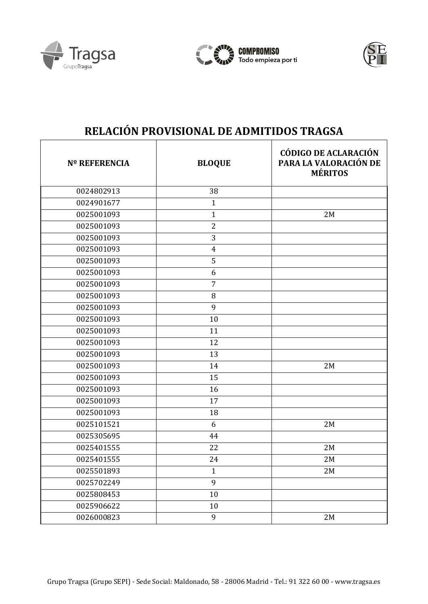





| <b>Nº REFERENCIA</b> | <b>BLOQUE</b>  | <b>CÓDIGO DE ACLARACIÓN</b><br>PARA LA VALORACIÓN DE<br><b>MÉRITOS</b> |
|----------------------|----------------|------------------------------------------------------------------------|
| 0024802913           | 38             |                                                                        |
| 0024901677           | $\mathbf{1}$   |                                                                        |
| 0025001093           | $\mathbf{1}$   | 2M                                                                     |
| 0025001093           | $\overline{2}$ |                                                                        |
| 0025001093           | 3              |                                                                        |
| 0025001093           | $\overline{4}$ |                                                                        |
| 0025001093           | 5              |                                                                        |
| 0025001093           | 6              |                                                                        |
| 0025001093           | 7              |                                                                        |
| 0025001093           | 8              |                                                                        |
| 0025001093           | 9              |                                                                        |
| 0025001093           | 10             |                                                                        |
| 0025001093           | 11             |                                                                        |
| 0025001093           | 12             |                                                                        |
| 0025001093           | 13             |                                                                        |
| 0025001093           | 14             | 2M                                                                     |
| 0025001093           | 15             |                                                                        |
| 0025001093           | 16             |                                                                        |
| 0025001093           | 17             |                                                                        |
| 0025001093           | 18             |                                                                        |
| 0025101521           | 6              | 2M                                                                     |
| 0025305695           | 44             |                                                                        |
| 0025401555           | 22             | 2M                                                                     |
| 0025401555           | 24             | 2M                                                                     |
| 0025501893           | $\mathbf{1}$   | 2M                                                                     |
| 0025702249           | 9              |                                                                        |
| 0025808453           | 10             |                                                                        |
| 0025906622           | 10             |                                                                        |
| 0026000823           | 9              | 2M                                                                     |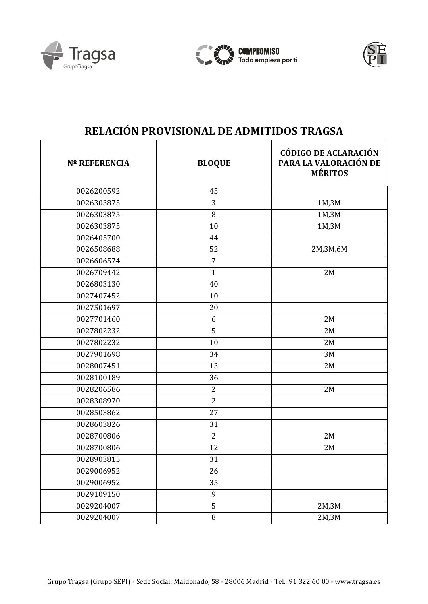





| <b>Nº REFERENCIA</b> | <b>BLOQUE</b>  | <b>CÓDIGO DE ACLARACIÓN</b><br>PARA LA VALORACIÓN DE<br><b>MÉRITOS</b> |
|----------------------|----------------|------------------------------------------------------------------------|
| 0026200592           | 45             |                                                                        |
| 0026303875           | 3              | 1M,3M                                                                  |
| 0026303875           | 8              | 1M,3M                                                                  |
| 0026303875           | 10             | 1M,3M                                                                  |
| 0026405700           | 44             |                                                                        |
| 0026508688           | 52             | 2M,3M,6M                                                               |
| 0026606574           | $\overline{7}$ |                                                                        |
| 0026709442           | $\mathbf{1}$   | 2M                                                                     |
| 0026803130           | 40             |                                                                        |
| 0027407452           | 10             |                                                                        |
| 0027501697           | 20             |                                                                        |
| 0027701460           | 6              | 2M                                                                     |
| 0027802232           | 5              | 2M                                                                     |
| 0027802232           | 10             | 2M                                                                     |
| 0027901698           | 34             | 3M                                                                     |
| 0028007451           | 13             | 2M                                                                     |
| 0028100189           | 36             |                                                                        |
| 0028206586           | $\overline{2}$ | 2M                                                                     |
| 0028308970           | $\overline{2}$ |                                                                        |
| 0028503862           | 27             |                                                                        |
| 0028603826           | 31             |                                                                        |
| 0028700806           | $\overline{2}$ | 2M                                                                     |
| 0028700806           | 12             | 2M                                                                     |
| 0028903815           | 31             |                                                                        |
| 0029006952           | 26             |                                                                        |
| 0029006952           | 35             |                                                                        |
| 0029109150           | $\mathbf{9}$   |                                                                        |
| 0029204007           | 5              | 2M,3M                                                                  |
| 0029204007           | $\, 8$         | 2M,3M                                                                  |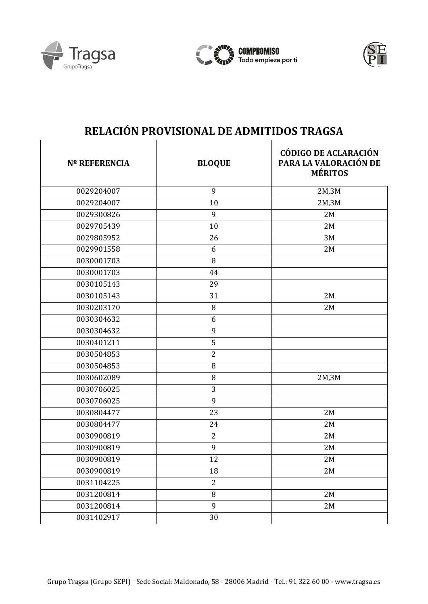





| <b>Nº REFERENCIA</b> | <b>BLOQUE</b>  | <b>CÓDIGO DE ACLARACIÓN</b><br>PARA LA VALORACIÓN DE<br><b>MÉRITOS</b> |
|----------------------|----------------|------------------------------------------------------------------------|
| 0029204007           | 9              | 2M,3M                                                                  |
| 0029204007           | 10             | 2M,3M                                                                  |
| 0029300826           | 9              | 2M                                                                     |
| 0029705439           | 10             | 2M                                                                     |
| 0029805952           | 26             | 3M                                                                     |
| 0029901558           | 6              | 2M                                                                     |
| 0030001703           | 8              |                                                                        |
| 0030001703           | 44             |                                                                        |
| 0030105143           | 29             |                                                                        |
| 0030105143           | 31             | 2M                                                                     |
| 0030203170           | 8              | 2M                                                                     |
| 0030304632           | 6              |                                                                        |
| 0030304632           | 9              |                                                                        |
| 0030401211           | 5              |                                                                        |
| 0030504853           | $\overline{2}$ |                                                                        |
| 0030504853           | 8              |                                                                        |
| 0030602089           | 8              | 2M,3M                                                                  |
| 0030706025           | 3              |                                                                        |
| 0030706025           | 9              |                                                                        |
| 0030804477           | 23             | 2M                                                                     |
| 0030804477           | 24             | 2M                                                                     |
| 0030900819           | $\overline{2}$ | 2M                                                                     |
| 0030900819           | 9              | 2M                                                                     |
| 0030900819           | 12             | 2M                                                                     |
| 0030900819           | 18             | 2M                                                                     |
| 0031104225           | $\overline{2}$ |                                                                        |
| 0031200814           | 8              | 2M                                                                     |
| 0031200814           | 9              | 2M                                                                     |
| 0031402917           | 30             |                                                                        |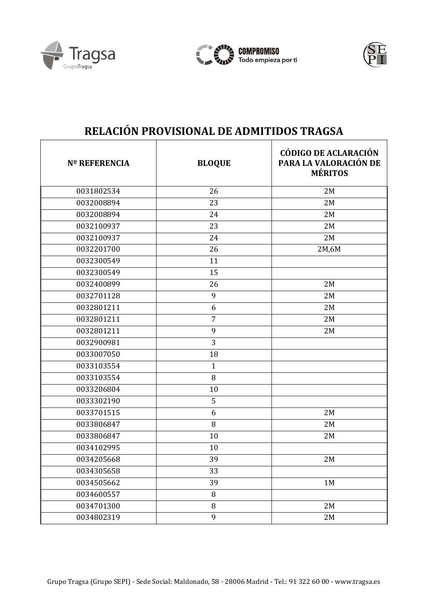





| <b>Nº REFERENCIA</b> | <b>BLOQUE</b>  | <b>CÓDIGO DE ACLARACIÓN</b><br>PARA LA VALORACIÓN DE<br><b>MÉRITOS</b> |
|----------------------|----------------|------------------------------------------------------------------------|
| 0031802534           | 26             | 2M                                                                     |
| 0032008894           | 23             | 2M                                                                     |
| 0032008894           | 24             | 2M                                                                     |
| 0032100937           | 23             | 2M                                                                     |
| 0032100937           | 24             | 2M                                                                     |
| 0032201700           | 26             | 2M,6M                                                                  |
| 0032300549           | 11             |                                                                        |
| 0032300549           | 15             |                                                                        |
| 0032400899           | 26             | 2M                                                                     |
| 0032701128           | 9              | 2M                                                                     |
| 0032801211           | 6              | 2M                                                                     |
| 0032801211           | $\overline{7}$ | 2M                                                                     |
| 0032801211           | 9              | 2M                                                                     |
| 0032900981           | 3              |                                                                        |
| 0033007050           | 18             |                                                                        |
| 0033103554           | $\mathbf{1}$   |                                                                        |
| 0033103554           | 8              |                                                                        |
| 0033206804           | 10             |                                                                        |
| 0033302190           | 5              |                                                                        |
| 0033701515           | 6              | 2M                                                                     |
| 0033806847           | $\, 8$         | 2M                                                                     |
| 0033806847           | 10             | 2M                                                                     |
| 0034102995           | 10             |                                                                        |
| 0034205668           | 39             | 2M                                                                     |
| 0034305658           | 33             |                                                                        |
| 0034505662           | 39             | 1M                                                                     |
| 0034600557           | 8              |                                                                        |
| 0034701300           | 8              | 2M                                                                     |
| 0034802319           | 9              | 2M                                                                     |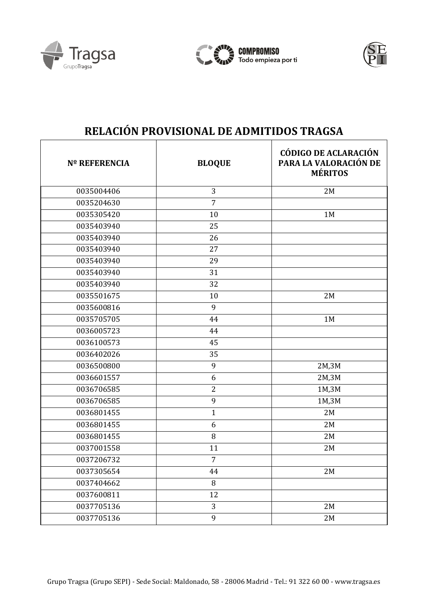





| <b>Nº REFERENCIA</b> | <b>BLOQUE</b>  | <b>CÓDIGO DE ACLARACIÓN</b><br>PARA LA VALORACIÓN DE<br><b>MÉRITOS</b> |
|----------------------|----------------|------------------------------------------------------------------------|
| 0035004406           | 3              | 2M                                                                     |
| 0035204630           | $\overline{7}$ |                                                                        |
| 0035305420           | 10             | 1M                                                                     |
| 0035403940           | 25             |                                                                        |
| 0035403940           | 26             |                                                                        |
| 0035403940           | 27             |                                                                        |
| 0035403940           | 29             |                                                                        |
| 0035403940           | 31             |                                                                        |
| 0035403940           | 32             |                                                                        |
| 0035501675           | 10             | 2M                                                                     |
| 0035600816           | 9              |                                                                        |
| 0035705705           | 44             | 1M                                                                     |
| 0036005723           | 44             |                                                                        |
| 0036100573           | 45             |                                                                        |
| 0036402026           | 35             |                                                                        |
| 0036500800           | 9              | 2M,3M                                                                  |
| 0036601557           | 6              | 2M,3M                                                                  |
| 0036706585           | $\overline{2}$ | 1M,3M                                                                  |
| 0036706585           | 9              | 1M,3M                                                                  |
| 0036801455           | $\mathbf{1}$   | 2M                                                                     |
| 0036801455           | 6              | 2M                                                                     |
| 0036801455           | 8              | 2M                                                                     |
| 0037001558           | 11             | 2M                                                                     |
| 0037206732           | $\overline{7}$ |                                                                        |
| 0037305654           | 44             | 2M                                                                     |
| 0037404662           | 8              |                                                                        |
| 0037600811           | 12             |                                                                        |
| 0037705136           | 3              | 2M                                                                     |
| 0037705136           | 9              | 2M                                                                     |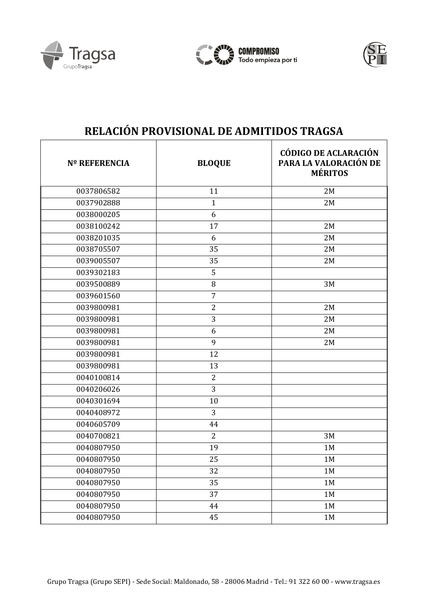





| <b>Nº REFERENCIA</b> | <b>BLOQUE</b>  | <b>CÓDIGO DE ACLARACIÓN</b><br>PARA LA VALORACIÓN DE<br><b>MÉRITOS</b> |
|----------------------|----------------|------------------------------------------------------------------------|
| 0037806582           | 11             | 2M                                                                     |
| 0037902888           | $\mathbf{1}$   | 2M                                                                     |
| 0038000205           | 6              |                                                                        |
| 0038100242           | 17             | 2M                                                                     |
| 0038201035           | 6              | 2M                                                                     |
| 0038705507           | 35             | 2M                                                                     |
| 0039005507           | 35             | 2M                                                                     |
| 0039302183           | 5              |                                                                        |
| 0039500889           | 8              | 3M                                                                     |
| 0039601560           | $\overline{7}$ |                                                                        |
| 0039800981           | $\overline{2}$ | 2M                                                                     |
| 0039800981           | 3              | 2M                                                                     |
| 0039800981           | 6              | 2M                                                                     |
| 0039800981           | 9              | 2M                                                                     |
| 0039800981           | 12             |                                                                        |
| 0039800981           | 13             |                                                                        |
| 0040100814           | $\overline{2}$ |                                                                        |
| 0040206026           | 3              |                                                                        |
| 0040301694           | 10             |                                                                        |
| 0040408972           | 3              |                                                                        |
| 0040605709           | 44             |                                                                        |
| 0040700821           | $\overline{2}$ | 3M                                                                     |
| 0040807950           | 19             | 1M                                                                     |
| 0040807950           | 25             | 1M                                                                     |
| 0040807950           | 32             | 1M                                                                     |
| 0040807950           | 35             | 1M                                                                     |
| 0040807950           | 37             | 1M                                                                     |
| 0040807950           | 44             | 1M                                                                     |
| 0040807950           | 45             | $1\mathrm{M}$                                                          |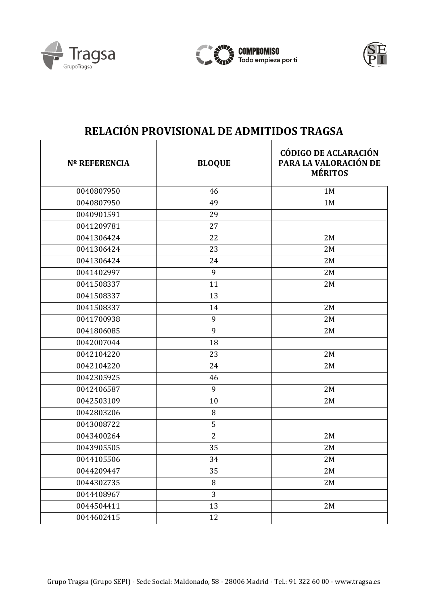





| <b>Nº REFERENCIA</b> | <b>BLOQUE</b>  | <b>CÓDIGO DE ACLARACIÓN</b><br>PARA LA VALORACIÓN DE<br><b>MÉRITOS</b> |
|----------------------|----------------|------------------------------------------------------------------------|
| 0040807950           | 46             | 1M                                                                     |
| 0040807950           | 49             | 1M                                                                     |
| 0040901591           | 29             |                                                                        |
| 0041209781           | 27             |                                                                        |
| 0041306424           | 22             | 2M                                                                     |
| 0041306424           | 23             | 2M                                                                     |
| 0041306424           | 24             | 2M                                                                     |
| 0041402997           | 9              | 2M                                                                     |
| 0041508337           | 11             | 2M                                                                     |
| 0041508337           | 13             |                                                                        |
| 0041508337           | 14             | 2M                                                                     |
| 0041700938           | 9              | 2M                                                                     |
| 0041806085           | 9              | 2M                                                                     |
| 0042007044           | 18             |                                                                        |
| 0042104220           | 23             | 2M                                                                     |
| 0042104220           | 24             | 2M                                                                     |
| 0042305925           | 46             |                                                                        |
| 0042406587           | 9              | 2M                                                                     |
| 0042503109           | 10             | 2M                                                                     |
| 0042803206           | 8              |                                                                        |
| 0043008722           | 5              |                                                                        |
| 0043400264           | $\overline{2}$ | 2M                                                                     |
| 0043905505           | 35             | 2M                                                                     |
| 0044105506           | 34             | 2M                                                                     |
| 0044209447           | 35             | 2M                                                                     |
| 0044302735           | 8              | 2M                                                                     |
| 0044408967           | 3              |                                                                        |
| 0044504411           | 13             | 2M                                                                     |
| 0044602415           | 12             |                                                                        |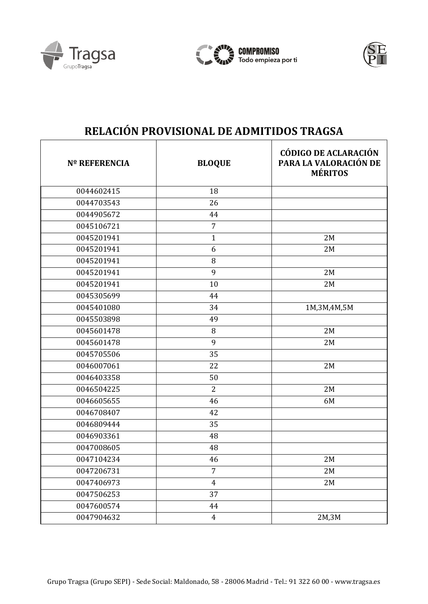





| <b>Nº REFERENCIA</b> | <b>BLOQUE</b>  | <b>CÓDIGO DE ACLARACIÓN</b><br>PARA LA VALORACIÓN DE<br><b>MÉRITOS</b> |
|----------------------|----------------|------------------------------------------------------------------------|
| 0044602415           | 18             |                                                                        |
| 0044703543           | 26             |                                                                        |
| 0044905672           | 44             |                                                                        |
| 0045106721           | $\overline{7}$ |                                                                        |
| 0045201941           | $\mathbf{1}$   | 2M                                                                     |
| 0045201941           | 6              | 2M                                                                     |
| 0045201941           | 8              |                                                                        |
| 0045201941           | 9              | 2M                                                                     |
| 0045201941           | 10             | 2M                                                                     |
| 0045305699           | 44             |                                                                        |
| 0045401080           | 34             | 1M, 3M, 4M, 5M                                                         |
| 0045503898           | 49             |                                                                        |
| 0045601478           | 8              | 2M                                                                     |
| 0045601478           | 9              | 2M                                                                     |
| 0045705506           | 35             |                                                                        |
| 0046007061           | 22             | 2M                                                                     |
| 0046403358           | 50             |                                                                        |
| 0046504225           | $\overline{2}$ | 2M                                                                     |
| 0046605655           | 46             | 6M                                                                     |
| 0046708407           | 42             |                                                                        |
| 0046809444           | 35             |                                                                        |
| 0046903361           | 48             |                                                                        |
| 0047008605           | 48             |                                                                        |
| 0047104234           | 46             | 2M                                                                     |
| 0047206731           | $\overline{7}$ | 2M                                                                     |
| 0047406973           | $\overline{4}$ | $2\,\mathrm{M}$                                                        |
| 0047506253           | 37             |                                                                        |
| 0047600574           | 44             |                                                                        |
| 0047904632           | $\overline{4}$ | 2M, 3M                                                                 |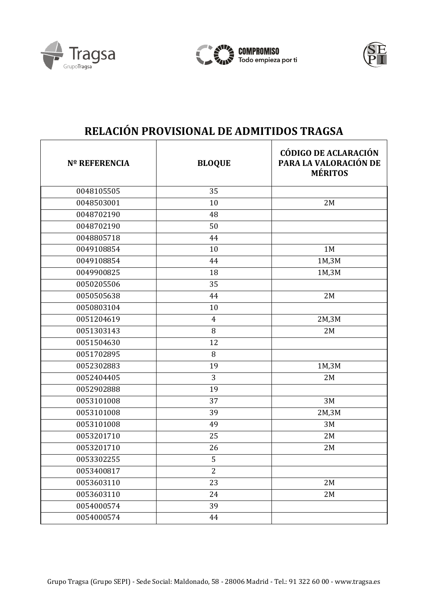





| <b>Nº REFERENCIA</b> | <b>BLOQUE</b>   | <b>CÓDIGO DE ACLARACIÓN</b><br>PARA LA VALORACIÓN DE<br><b>MÉRITOS</b> |
|----------------------|-----------------|------------------------------------------------------------------------|
| 0048105505           | 35              |                                                                        |
| 0048503001           | 10              | 2M                                                                     |
| 0048702190           | 48              |                                                                        |
| 0048702190           | 50              |                                                                        |
| 0048805718           | 44              |                                                                        |
| 0049108854           | 10              | 1M                                                                     |
| 0049108854           | 44              | 1M,3M                                                                  |
| 0049900825           | 18              | 1M,3M                                                                  |
| 0050205506           | 35              |                                                                        |
| 0050505638           | 44              | 2M                                                                     |
| 0050803104           | 10              |                                                                        |
| 0051204619           | $\overline{4}$  | 2M,3M                                                                  |
| 0051303143           | $\, 8$          | 2M                                                                     |
| 0051504630           | 12              |                                                                        |
| 0051702895           | 8               |                                                                        |
| 0052302883           | 19              | 1M,3M                                                                  |
| 0052404405           | 3               | 2M                                                                     |
| 0052902888           | 19              |                                                                        |
| 0053101008           | 37              | 3M                                                                     |
| 0053101008           | 39              | 2M,3M                                                                  |
| 0053101008           | 49              | 3M                                                                     |
| 0053201710           | 25              | 2M                                                                     |
| 0053201710           | 26              | 2M                                                                     |
| 0053302255           | 5               |                                                                        |
| 0053400817           | $\overline{2}$  |                                                                        |
| 0053603110           | $\overline{23}$ | 2M                                                                     |
| 0053603110           | 24              | 2M                                                                     |
| 0054000574           | 39              |                                                                        |
| 0054000574           | 44              |                                                                        |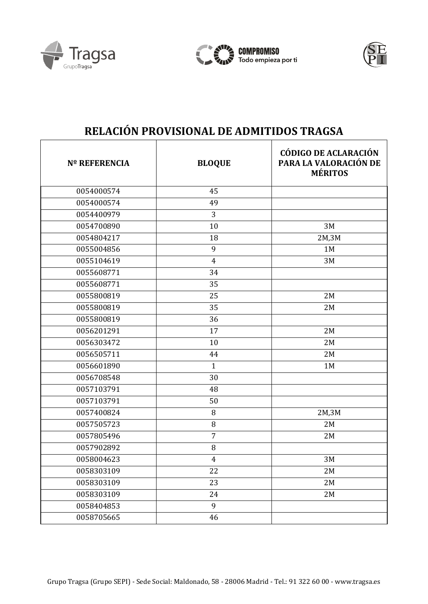





| <b>Nº REFERENCIA</b> | <b>BLOQUE</b>  | <b>CÓDIGO DE ACLARACIÓN</b><br>PARA LA VALORACIÓN DE<br><b>MÉRITOS</b> |
|----------------------|----------------|------------------------------------------------------------------------|
| 0054000574           | 45             |                                                                        |
| 0054000574           | 49             |                                                                        |
| 0054400979           | 3              |                                                                        |
| 0054700890           | 10             | 3M                                                                     |
| 0054804217           | 18             | 2M,3M                                                                  |
| 0055004856           | 9              | 1M                                                                     |
| 0055104619           | $\overline{4}$ | 3M                                                                     |
| 0055608771           | 34             |                                                                        |
| 0055608771           | 35             |                                                                        |
| 0055800819           | 25             | 2M                                                                     |
| 0055800819           | 35             | 2M                                                                     |
| 0055800819           | 36             |                                                                        |
| 0056201291           | 17             | 2M                                                                     |
| 0056303472           | 10             | 2M                                                                     |
| 0056505711           | 44             | 2M                                                                     |
| 0056601890           | $\mathbf{1}$   | 1M                                                                     |
| 0056708548           | 30             |                                                                        |
| 0057103791           | 48             |                                                                        |
| 0057103791           | 50             |                                                                        |
| 0057400824           | 8              | 2M,3M                                                                  |
| 0057505723           | 8              | 2M                                                                     |
| 0057805496           | $\overline{7}$ | 2M                                                                     |
| 0057902892           | 8              |                                                                        |
| 0058004623           | $\overline{4}$ | 3M                                                                     |
| 0058303109           | 22             | 2M                                                                     |
| 0058303109           | 23             | 2M                                                                     |
| 0058303109           | 24             | 2M                                                                     |
| 0058404853           | 9              |                                                                        |
| 0058705665           | 46             |                                                                        |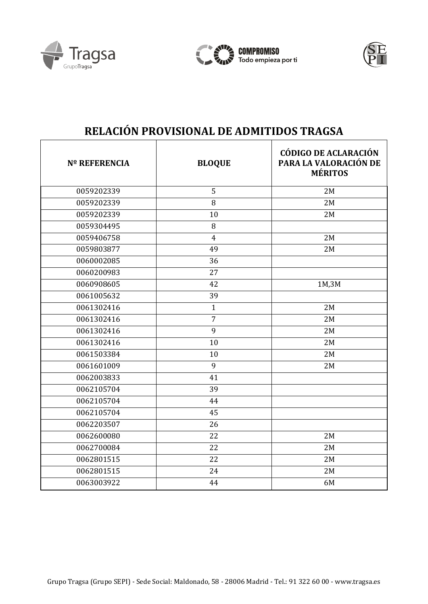





| <b>Nº REFERENCIA</b> | <b>BLOQUE</b>  | <b>CÓDIGO DE ACLARACIÓN</b><br>PARA LA VALORACIÓN DE<br><b>MÉRITOS</b> |
|----------------------|----------------|------------------------------------------------------------------------|
| 0059202339           | 5              | 2M                                                                     |
| 0059202339           | 8              | 2M                                                                     |
| 0059202339           | 10             | 2M                                                                     |
| 0059304495           | 8              |                                                                        |
| 0059406758           | $\overline{4}$ | 2M                                                                     |
| 0059803877           | 49             | 2M                                                                     |
| 0060002085           | 36             |                                                                        |
| 0060200983           | 27             |                                                                        |
| 0060908605           | 42             | 1M,3M                                                                  |
| 0061005632           | 39             |                                                                        |
| 0061302416           | $\mathbf{1}$   | 2M                                                                     |
| 0061302416           | $\overline{7}$ | 2M                                                                     |
| 0061302416           | 9              | 2M                                                                     |
| 0061302416           | 10             | 2M                                                                     |
| 0061503384           | 10             | 2M                                                                     |
| 0061601009           | 9              | 2M                                                                     |
| 0062003833           | 41             |                                                                        |
| 0062105704           | 39             |                                                                        |
| 0062105704           | 44             |                                                                        |
| 0062105704           | 45             |                                                                        |
| 0062203507           | 26             |                                                                        |
| 0062600080           | 22             | 2M                                                                     |
| 0062700084           | 22             | 2M                                                                     |
| 0062801515           | 22             | 2M                                                                     |
| 0062801515           | 24             | 2M                                                                     |
| 0063003922           | 44             | 6M                                                                     |